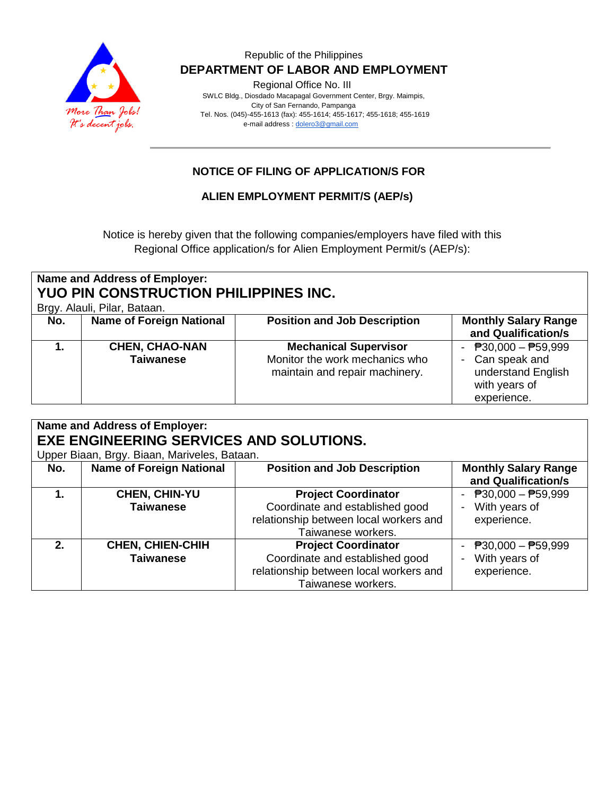

#### Republic of the Philippines  **DEPARTMENT OF LABOR AND EMPLOYMENT**

Regional Office No. III

 SWLC Bldg., Diosdado Macapagal Government Center, Brgy. Maimpis, City of San Fernando, Pampanga Tel. Nos. (045)-455-1613 (fax): 455-1614; 455-1617; 455-1618; 455-1619 e-mail address [: dolero3@gmail.com](mailto:dolero3@gmail.com)

## **NOTICE OF FILING OF APPLICATION/S FOR**

### **ALIEN EMPLOYMENT PERMIT/S (AEP/s)**

Notice is hereby given that the following companies/employers have filed with this Regional Office application/s for Alien Employment Permit/s (AEP/s):

| Name and Address of Employer:<br><b>YUO PIN CONSTRUCTION PHILIPPINES INC.</b><br>Brgy. Alauli, Pilar, Bataan. |                                           |                                                                                                  |                                                                                                                      |  |  |  |
|---------------------------------------------------------------------------------------------------------------|-------------------------------------------|--------------------------------------------------------------------------------------------------|----------------------------------------------------------------------------------------------------------------------|--|--|--|
| No.                                                                                                           | <b>Name of Foreign National</b>           | <b>Position and Job Description</b>                                                              | <b>Monthly Salary Range</b><br>and Qualification/s                                                                   |  |  |  |
|                                                                                                               | <b>CHEN, CHAO-NAN</b><br><b>Taiwanese</b> | <b>Mechanical Supervisor</b><br>Monitor the work mechanics who<br>maintain and repair machinery. | - $\overline{P}30,000 - \overline{P}59,999$<br>- Can speak and<br>understand English<br>with years of<br>experience. |  |  |  |

| Name and Address of Employer:                  |                                 |                                        |                             |  |  |  |  |  |
|------------------------------------------------|---------------------------------|----------------------------------------|-----------------------------|--|--|--|--|--|
| <b>EXE ENGINEERING SERVICES AND SOLUTIONS.</b> |                                 |                                        |                             |  |  |  |  |  |
| Upper Biaan, Brgy. Biaan, Mariveles, Bataan.   |                                 |                                        |                             |  |  |  |  |  |
| No.                                            | <b>Name of Foreign National</b> | <b>Position and Job Description</b>    | <b>Monthly Salary Range</b> |  |  |  |  |  |
|                                                |                                 |                                        | and Qualification/s         |  |  |  |  |  |
|                                                | CHEN, CHIN-YU                   | <b>Project Coordinator</b>             | - $P30,000 - P59,999$       |  |  |  |  |  |
|                                                | <b>Taiwanese</b>                | Coordinate and established good        | With years of               |  |  |  |  |  |
|                                                |                                 | relationship between local workers and | experience.                 |  |  |  |  |  |
|                                                |                                 | Taiwanese workers.                     |                             |  |  |  |  |  |
| 2.                                             | <b>CHEN, CHIEN-CHIH</b>         | <b>Project Coordinator</b>             | - $P30,000 - P59,999$       |  |  |  |  |  |
|                                                | <b>Taiwanese</b>                | Coordinate and established good        | With years of               |  |  |  |  |  |
|                                                |                                 | relationship between local workers and | experience.                 |  |  |  |  |  |
|                                                |                                 | Taiwanese workers.                     |                             |  |  |  |  |  |